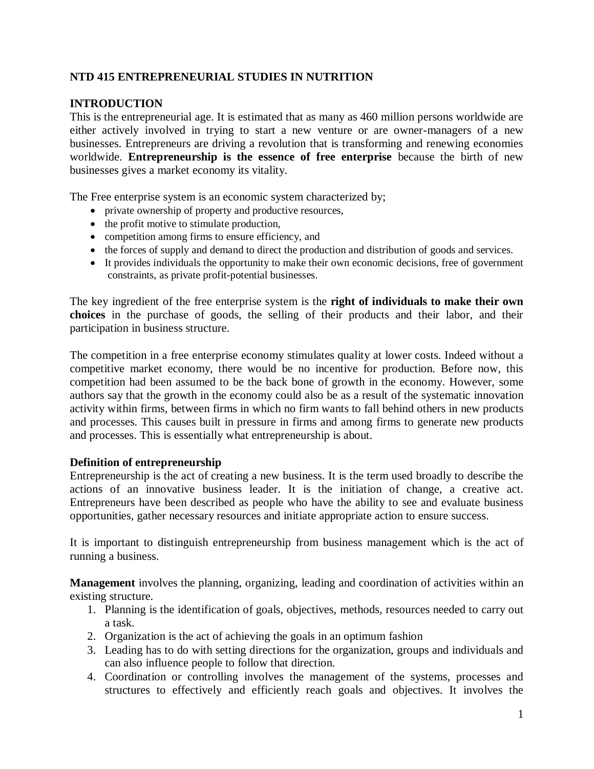# **NTD 415 ENTREPRENEURIAL STUDIES IN NUTRITION**

# **INTRODUCTION**

This is the entrepreneurial age. It is estimated that as many as 460 million persons worldwide are either actively involved in trying to start a new venture or are owner-managers of a new businesses. Entrepreneurs are driving a revolution that is transforming and renewing economies worldwide. **Entrepreneurship is the essence of free enterprise** because the birth of new businesses gives a market economy its vitality.

The Free enterprise system is an economic system characterized by;

- private ownership of property and productive resources,
- $\bullet$  the profit motive to stimulate production,
- competition among firms to ensure efficiency, and
- the forces of supply and demand to direct the production and distribution of goods and services.
- It provides individuals the opportunity to make their own economic decisions, free of government constraints, as private profit-potential businesses.

The key ingredient of the free enterprise system is the **right of individuals to make their own choices** in the purchase of goods, the selling of their products and their labor, and their participation in business structure.

The competition in a free enterprise economy stimulates quality at lower costs. Indeed without a competitive market economy, there would be no incentive for production. Before now, this competition had been assumed to be the back bone of growth in the economy. However, some authors say that the growth in the economy could also be as a result of the systematic innovation activity within firms, between firms in which no firm wants to fall behind others in new products and processes. This causes built in pressure in firms and among firms to generate new products and processes. This is essentially what entrepreneurship is about.

# **Definition of entrepreneurship**

Entrepreneurship is the act of creating a new business. It is the term used broadly to describe the actions of an innovative business leader. It is the initiation of change, a creative act. Entrepreneurs have been described as people who have the ability to see and evaluate business opportunities, gather necessary resources and initiate appropriate action to ensure success.

It is important to distinguish entrepreneurship from business management which is the act of running a business.

**Management** involves the planning, organizing, leading and coordination of activities within an existing structure.

- 1. Planning is the identification of goals, objectives, methods, resources needed to carry out a task.
- 2. Organization is the act of achieving the goals in an optimum fashion
- 3. Leading has to do with setting directions for the organization, groups and individuals and can also influence people to follow that direction.
- 4. Coordination or controlling involves the management of the systems, processes and structures to effectively and efficiently reach goals and objectives. It involves the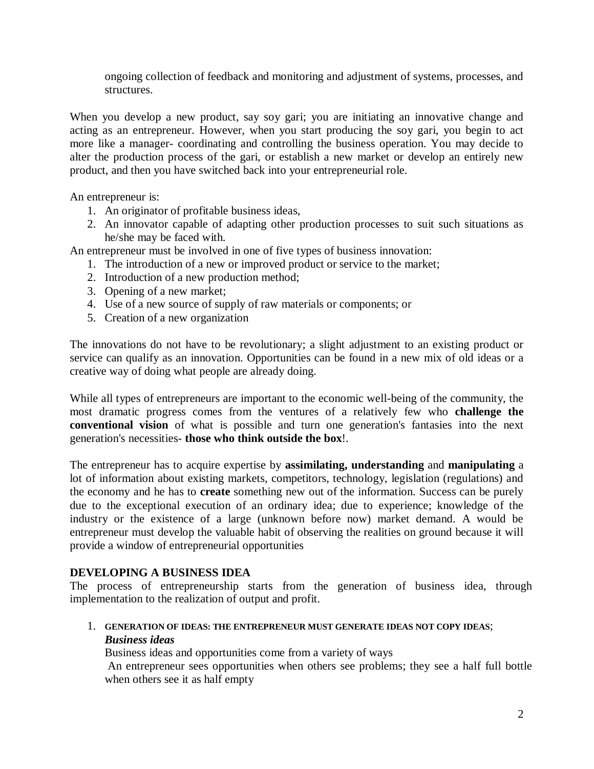ongoing collection of feedback and monitoring and adjustment of systems, processes, and structures.

When you develop a new product, say soy gari; you are initiating an innovative change and acting as an entrepreneur. However, when you start producing the soy gari, you begin to act more like a manager- coordinating and controlling the business operation. You may decide to alter the production process of the gari, or establish a new market or develop an entirely new product, and then you have switched back into your entrepreneurial role.

An entrepreneur is:

- 1. An originator of profitable business ideas,
- 2. An innovator capable of adapting other production processes to suit such situations as he/she may be faced with.

An entrepreneur must be involved in one of five types of business innovation:

- 1. The introduction of a new or improved product or service to the market;
- 2. Introduction of a new production method;
- 3. Opening of a new market;
- 4. Use of a new source of supply of raw materials or components; or
- 5. Creation of a new organization

The innovations do not have to be revolutionary; a slight adjustment to an existing product or service can qualify as an innovation. Opportunities can be found in a new mix of old ideas or a creative way of doing what people are already doing.

While all types of entrepreneurs are important to the economic well-being of the community, the most dramatic progress comes from the ventures of a relatively few who **challenge the conventional vision** of what is possible and turn one generation's fantasies into the next generation's necessities- **those who think outside the box**!.

The entrepreneur has to acquire expertise by **assimilating, understanding** and **manipulating** a lot of information about existing markets, competitors, technology, legislation (regulations) and the economy and he has to **create** something new out of the information. Success can be purely due to the exceptional execution of an ordinary idea; due to experience; knowledge of the industry or the existence of a large (unknown before now) market demand. A would be entrepreneur must develop the valuable habit of observing the realities on ground because it will provide a window of entrepreneurial opportunities

## **DEVELOPING A BUSINESS IDEA**

The process of entrepreneurship starts from the generation of business idea, through implementation to the realization of output and profit.

1. **GENERATION OF IDEAS: THE ENTREPRENEUR MUST GENERATE IDEAS NOT COPY IDEAS**; *Business ideas*

Business ideas and opportunities come from a variety of ways

An entrepreneur sees opportunities when others see problems; they see a half full bottle when others see it as half empty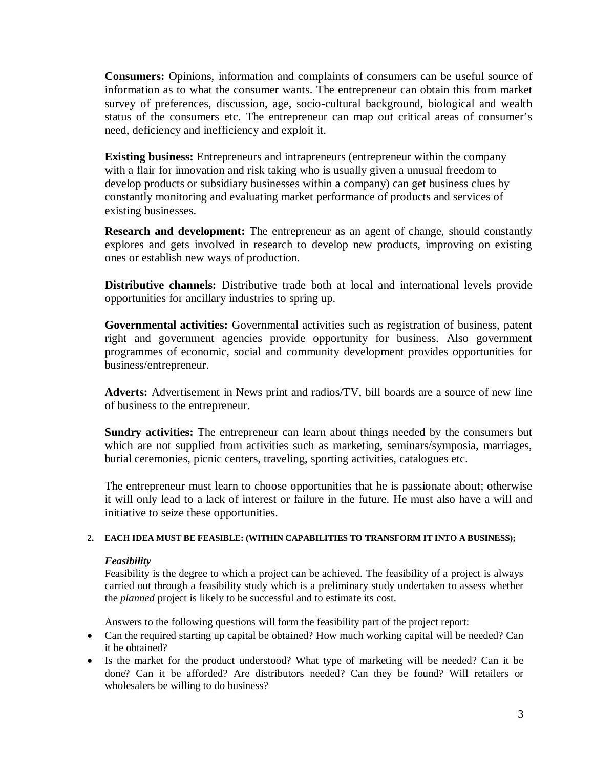**Consumers:** Opinions, information and complaints of consumers can be useful source of information as to what the consumer wants. The entrepreneur can obtain this from market survey of preferences, discussion, age, socio-cultural background, biological and wealth status of the consumers etc. The entrepreneur can map out critical areas of consumer's need, deficiency and inefficiency and exploit it.

**Existing business:** Entrepreneurs and intrapreneurs (entrepreneur within the company with a flair for innovation and risk taking who is usually given a unusual freedom to develop products or subsidiary businesses within a company) can get business clues by constantly monitoring and evaluating market performance of products and services of existing businesses.

**Research and development:** The entrepreneur as an agent of change, should constantly explores and gets involved in research to develop new products, improving on existing ones or establish new ways of production.

**Distributive channels:** Distributive trade both at local and international levels provide opportunities for ancillary industries to spring up.

**Governmental activities:** Governmental activities such as registration of business, patent right and government agencies provide opportunity for business. Also government programmes of economic, social and community development provides opportunities for business/entrepreneur.

**Adverts:** Advertisement in News print and radios/TV, bill boards are a source of new line of business to the entrepreneur.

Sundry activities: The entrepreneur can learn about things needed by the consumers but which are not supplied from activities such as marketing, seminars/symposia, marriages, burial ceremonies, picnic centers, traveling, sporting activities, catalogues etc.

The entrepreneur must learn to choose opportunities that he is passionate about; otherwise it will only lead to a lack of interest or failure in the future. He must also have a will and initiative to seize these opportunities.

### **2. EACH IDEA MUST BE FEASIBLE: (WITHIN CAPABILITIES TO TRANSFORM IT INTO A BUSINESS);**

### *Feasibility*

Feasibility is the degree to which a project can be achieved. The feasibility of a project is always carried out through a feasibility study which is a preliminary study undertaken to assess whether the *planned* project is likely to be successful and to estimate its cost.

Answers to the following questions will form the feasibility part of the project report:

- Can the required starting up capital be obtained? How much working capital will be needed? Can it be obtained?
- Is the market for the product understood? What type of marketing will be needed? Can it be done? Can it be afforded? Are distributors needed? Can they be found? Will retailers or wholesalers be willing to do business?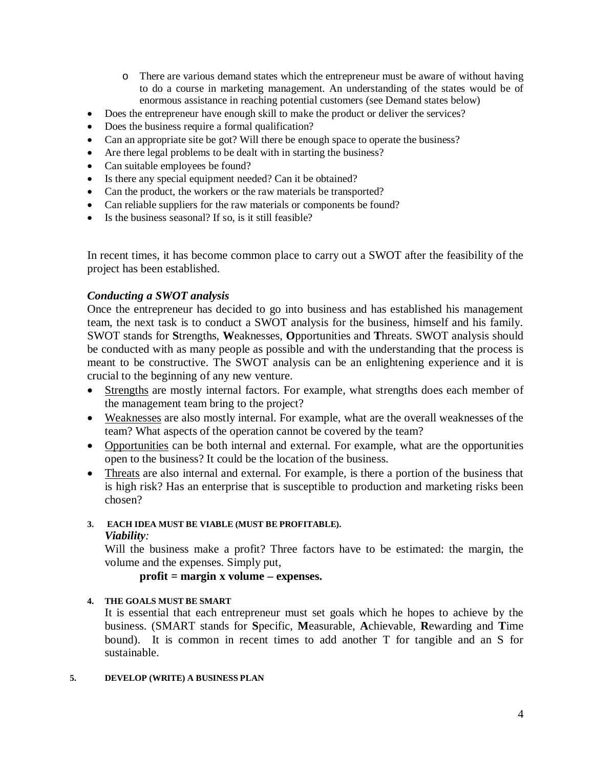- o There are various demand states which the entrepreneur must be aware of without having to do a course in marketing management. An understanding of the states would be of enormous assistance in reaching potential customers (see Demand states below)
- Does the entrepreneur have enough skill to make the product or deliver the services?
- Does the business require a formal qualification?
- Can an appropriate site be got? Will there be enough space to operate the business?
- Are there legal problems to be dealt with in starting the business?
- Can suitable employees be found?
- Is there any special equipment needed? Can it be obtained?
- Can the product, the workers or the raw materials be transported?
- Can reliable suppliers for the raw materials or components be found?
- Is the business seasonal? If so, is it still feasible?

In recent times, it has become common place to carry out a SWOT after the feasibility of the project has been established.

# *Conducting a SWOT analysis*

Once the entrepreneur has decided to go into business and has established his management team, the next task is to conduct a SWOT analysis for the business, himself and his family. SWOT stands for **S**trengths, **W**eaknesses, **O**pportunities and **T**hreats. SWOT analysis should be conducted with as many people as possible and with the understanding that the process is meant to be constructive. The SWOT analysis can be an enlightening experience and it is crucial to the beginning of any new venture.

- Strengths are mostly internal factors. For example, what strengths does each member of the management team bring to the project?
- Weaknesses are also mostly internal. For example, what are the overall weaknesses of the team? What aspects of the operation cannot be covered by the team?
- Opportunities can be both internal and external. For example, what are the opportunities open to the business? It could be the location of the business.
- Threats are also internal and external. For example, is there a portion of the business that is high risk? Has an enterprise that is susceptible to production and marketing risks been chosen?

## **3. EACH IDEA MUST BE VIABLE (MUST BE PROFITABLE).** *Viability:*

Will the business make a profit? Three factors have to be estimated: the margin, the volume and the expenses. Simply put,

# **profit = margin x volume – expenses.**

## **4. THE GOALS MUST BE SMART**

It is essential that each entrepreneur must set goals which he hopes to achieve by the business. (SMART stands for **S**pecific, **M**easurable, **A**chievable, **R**ewarding and **T**ime bound). It is common in recent times to add another T for tangible and an S for sustainable.

### **5. DEVELOP (WRITE) A BUSINESS PLAN**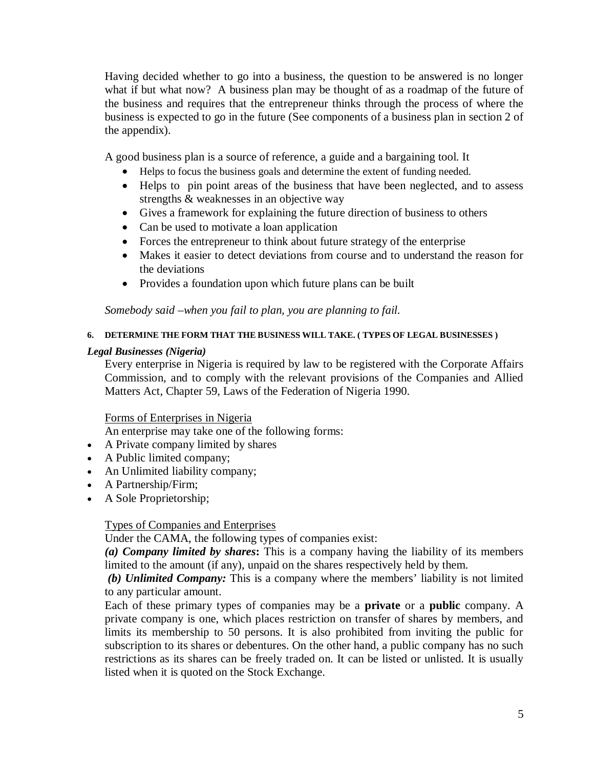Having decided whether to go into a business, the question to be answered is no longer what if but what now? A business plan may be thought of as a roadmap of the future of the business and requires that the entrepreneur thinks through the process of where the business is expected to go in the future (See components of a business plan in section 2 of the appendix).

A good business plan is a source of reference, a guide and a bargaining tool. It

- Helps to focus the business goals and determine the extent of funding needed.
- Helps to pin point areas of the business that have been neglected, and to assess strengths & weaknesses in an objective way
- Gives a framework for explaining the future direction of business to others
- Can be used to motivate a loan application
- Forces the entrepreneur to think about future strategy of the enterprise
- Makes it easier to detect deviations from course and to understand the reason for the deviations
- Provides a foundation upon which future plans can be built

*Somebody said –when you fail to plan, you are planning to fail.*

## **6. DETERMINE THE FORM THAT THE BUSINESS WILL TAKE. ( TYPES OF LEGAL BUSINESSES )**

## *Legal Businesses (Nigeria)*

Every enterprise in Nigeria is required by law to be registered with the Corporate Affairs Commission, and to comply with the relevant provisions of the Companies and Allied Matters Act, Chapter 59, Laws of the Federation of Nigeria 1990.

# Forms of Enterprises in Nigeria

An enterprise may take one of the following forms:

- A Private company limited by shares
- A Public limited company;
- An Unlimited liability company;
- A Partnership/Firm;
- A Sole Proprietorship;

# Types of Companies and Enterprises

Under the CAMA, the following types of companies exist:

*(a) Company limited by shares***:** This is a company having the liability of its members limited to the amount (if any), unpaid on the shares respectively held by them.

*(b) Unlimited Company:* This is a company where the members' liability is not limited to any particular amount.

Each of these primary types of companies may be a **private** or a **public** company. A private company is one, which places restriction on transfer of shares by members, and limits its membership to 50 persons. It is also prohibited from inviting the public for subscription to its shares or debentures. On the other hand, a public company has no such restrictions as its shares can be freely traded on. It can be listed or unlisted. It is usually listed when it is quoted on the Stock Exchange.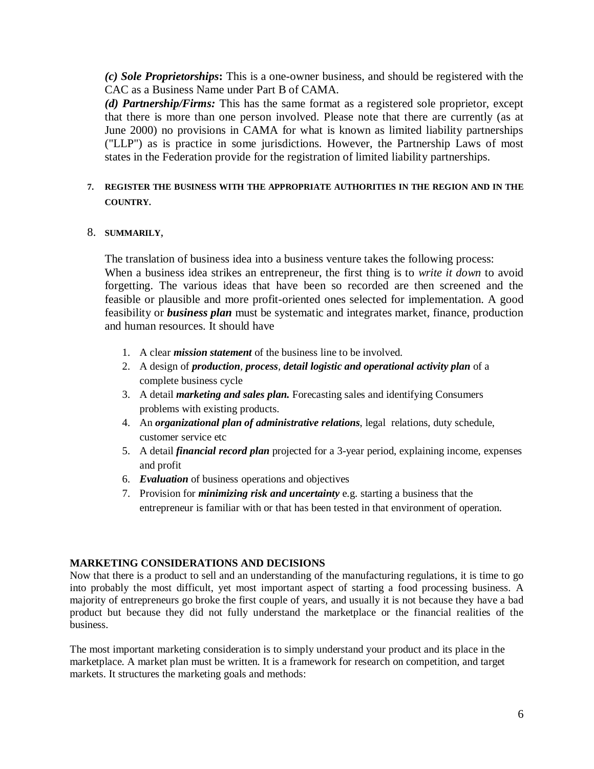*(c) Sole Proprietorships***:** This is a one-owner business, and should be registered with the CAC as a Business Name under Part B of CAMA.

*(d) Partnership/Firms:* This has the same format as a registered sole proprietor, except that there is more than one person involved. Please note that there are currently (as at June 2000) no provisions in CAMA for what is known as limited liability partnerships ("LLP") as is practice in some jurisdictions. However, the Partnership Laws of most states in the Federation provide for the registration of limited liability partnerships.

## **7. REGISTER THE BUSINESS WITH THE APPROPRIATE AUTHORITIES IN THE REGION AND IN THE COUNTRY.**

## 8. **SUMMARILY**,

The translation of business idea into a business venture takes the following process: When a business idea strikes an entrepreneur, the first thing is to *write it down* to avoid forgetting. The various ideas that have been so recorded are then screened and the feasible or plausible and more profit-oriented ones selected for implementation. A good feasibility or *business plan* must be systematic and integrates market, finance, production and human resources. It should have

- 1. A clear *mission statement* of the business line to be involved.
- 2. A design of *production, process, detail logistic and operational activity plan* of a complete business cycle
- 3. A detail *marketing and sales plan.* Forecasting sales and identifying Consumers problems with existing products.
- 4. An *organizational plan of administrative relations*, legal relations, duty schedule, customer service etc
- 5. A detail *financial record plan* projected for a 3-year period, explaining income, expenses and profit
- 6. *Evaluation* of business operations and objectives
- 7. Provision for *minimizing risk and uncertainty* e.g. starting a business that the entrepreneur is familiar with or that has been tested in that environment of operation.

## **MARKETING CONSIDERATIONS AND DECISIONS**

Now that there is a product to sell and an understanding of the manufacturing regulations, it is time to go into probably the most difficult, yet most important aspect of starting a food processing business. A majority of entrepreneurs go broke the first couple of years, and usually it is not because they have a bad product but because they did not fully understand the marketplace or the financial realities of the business.

The most important marketing consideration is to simply understand your product and its place in the marketplace. A market plan must be written. It is a framework for research on competition, and target markets. It structures the marketing goals and methods: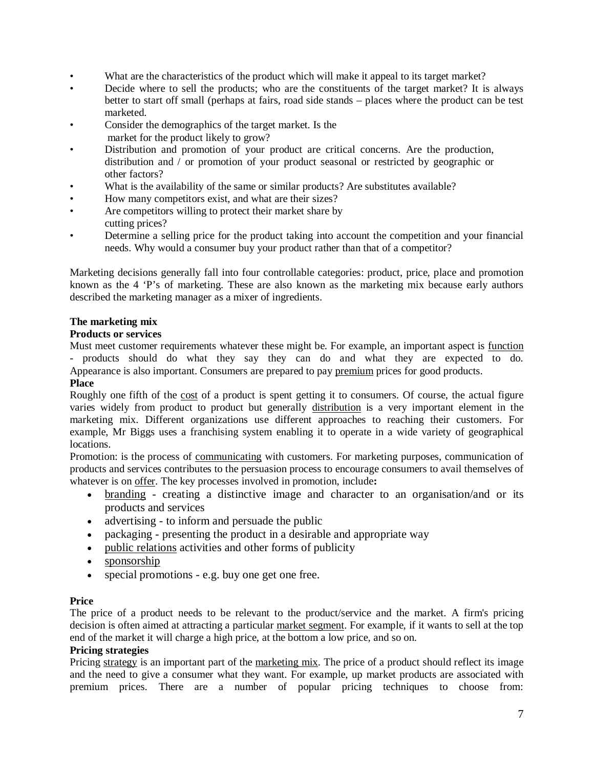- What are the characteristics of the product which will make it appeal to its target market?
- Decide where to sell the products; who are the constituents of the target market? It is always better to start off small (perhaps at fairs, road side stands – places where the product can be test marketed.
- Consider the demographics of the target market. Is the market for the product likely to grow?
- Distribution and promotion of your product are critical concerns. Are the production, distribution and / or promotion of your product seasonal or restricted by geographic or other factors?
- What is the availability of the same or similar products? Are substitutes available?
- How many competitors exist, and what are their sizes?
- Are competitors willing to protect their market share by cutting prices?
- Determine a selling price for the product taking into account the competition and your financial needs. Why would a consumer buy your product rather than that of a competitor?

Marketing decisions generally fall into four controllable categories: product, price, place and promotion known as the 4 'P's of marketing. These are also known as the marketing mix because early authors described the marketing manager as a mixer of ingredients.

### **The marketing mix**

### **Products or services**

Must meet customer requirements whatever these might be. For example, an important aspect is function - products should do what they say they can do and what they are expected to do. Appearance is also important. Consumers are prepared to pay premium prices for good products.

#### **Place**

Roughly one fifth of the cost of a product is spent getting it to consumers. Of course, the actual figure varies widely from product to product but generally distribution is a very important element in the marketing mix. Different organizations use different approaches to reaching their customers. For example, Mr Biggs uses a franchising system enabling it to operate in a wide variety of geographical locations.

Promotion: is the process of communicating with customers. For marketing purposes, communication of products and services contributes to the persuasion process to encourage consumers to avail themselves of whatever is on offer. The key processes involved in promotion, include**:** 

- branding creating a distinctive image and character to an organisation/and or its products and services
- advertising to inform and persuade the public
- packaging presenting the product in a desirable and appropriate way
- public relations activities and other forms of publicity
- sponsorship
- special promotions e.g. buy one get one free.

### **Price**

The price of a product needs to be relevant to the product/service and the market. A firm's pricing decision is often aimed at attracting a particular market segment. For example, if it wants to sell at the top end of the market it will charge a high price, at the bottom a low price, and so on.

### **Pricing strategies**

Pricing strategy is an important part of the marketing mix. The price of a product should reflect its image and the need to give a consumer what they want. For example, up market products are associated with premium prices. There are a number of popular pricing techniques to choose from: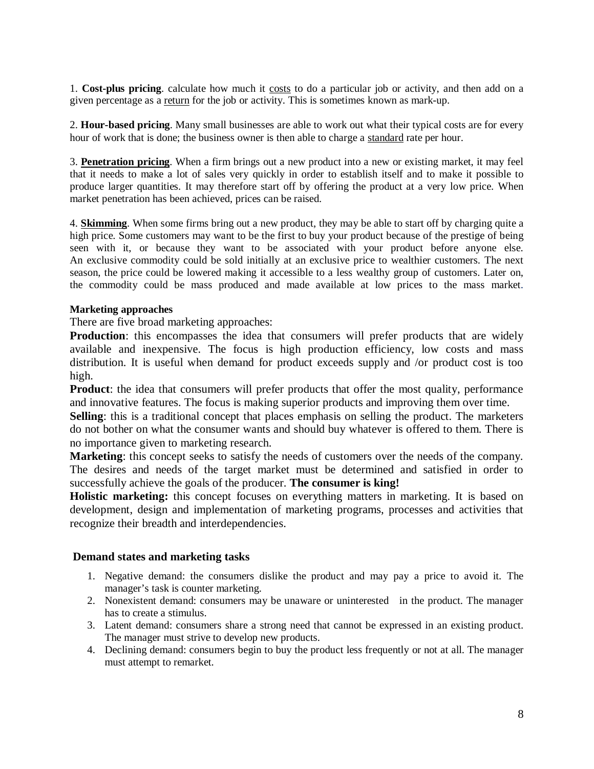1. **Cost-plus pricing**. calculate how much it costs to do a particular job or activity, and then add on a given percentage as a return for the job or activity. This is sometimes known as mark-up.

2. **Hour-based pricing**. Many small businesses are able to work out what their typical costs are for every hour of work that is done; the business owner is then able to charge a standard rate per hour.

3. **Penetration pricing**. When a firm brings out a new product into a new or existing market, it may feel that it needs to make a lot of sales very quickly in order to establish itself and to make it possible to produce larger quantities. It may therefore start off by offering the product at a very low price. When market penetration has been achieved, prices can be raised.

4. **Skimming**. When some firms bring out a new product, they may be able to start off by charging quite a high price. Some customers may want to be the first to buy your product because of the prestige of being seen with it, or because they want to be associated with your product before anyone else. An exclusive commodity could be sold initially at an exclusive price to wealthier customers. The next season, the price could be lowered making it accessible to a less wealthy group of customers. Later on, the commodity could be mass produced and made available at low prices to the mass market.

### **Marketing approaches**

There are five broad marketing approaches:

**Production**: this encompasses the idea that consumers will prefer products that are widely available and inexpensive. The focus is high production efficiency, low costs and mass distribution. It is useful when demand for product exceeds supply and /or product cost is too high.

**Product**: the idea that consumers will prefer products that offer the most quality, performance and innovative features. The focus is making superior products and improving them over time.

**Selling**: this is a traditional concept that places emphasis on selling the product. The marketers do not bother on what the consumer wants and should buy whatever is offered to them. There is no importance given to marketing research.

**Marketing**: this concept seeks to satisfy the needs of customers over the needs of the company. The desires and needs of the target market must be determined and satisfied in order to successfully achieve the goals of the producer. **The consumer is king!**

**Holistic marketing:** this concept focuses on everything matters in marketing. It is based on development, design and implementation of marketing programs, processes and activities that recognize their breadth and interdependencies.

### **Demand states and marketing tasks**

- 1. Negative demand: the consumers dislike the product and may pay a price to avoid it. The manager's task is counter marketing.
- 2. Nonexistent demand: consumers may be unaware or uninterested in the product. The manager has to create a stimulus.
- 3. Latent demand: consumers share a strong need that cannot be expressed in an existing product. The manager must strive to develop new products.
- 4. Declining demand: consumers begin to buy the product less frequently or not at all. The manager must attempt to remarket.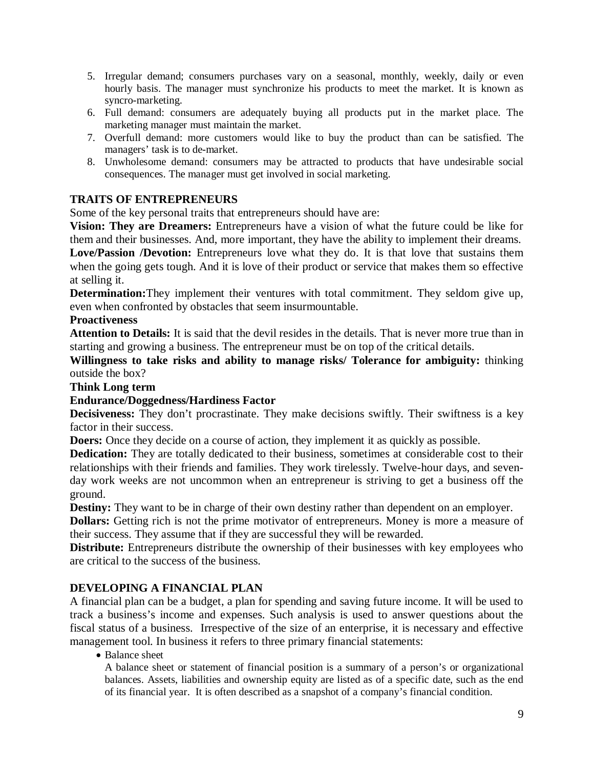- 5. Irregular demand; consumers purchases vary on a seasonal, monthly, weekly, daily or even hourly basis. The manager must synchronize his products to meet the market. It is known as syncro-marketing.
- 6. Full demand: consumers are adequately buying all products put in the market place. The marketing manager must maintain the market.
- 7. Overfull demand: more customers would like to buy the product than can be satisfied. The managers' task is to de-market.
- 8. Unwholesome demand: consumers may be attracted to products that have undesirable social consequences. The manager must get involved in social marketing.

# **TRAITS OF ENTREPRENEURS**

Some of the key personal traits that entrepreneurs should have are:

**Vision: They are Dreamers:** Entrepreneurs have a vision of what the future could be like for them and their businesses. And, more important, they have the ability to implement their dreams. Love/Passion /Devotion: Entrepreneurs love what they do. It is that love that sustains them when the going gets tough. And it is love of their product or service that makes them so effective

### at selling it.

**Determination:**They implement their ventures with total commitment. They seldom give up, even when confronted by obstacles that seem insurmountable.

## **Proactiveness**

**Attention to Details:** It is said that the devil resides in the details. That is never more true than in starting and growing a business. The entrepreneur must be on top of the critical details.

**Willingness to take risks and ability to manage risks/ Tolerance for ambiguity:** thinking outside the box?

## **Think Long term**

# **Endurance/Doggedness/Hardiness Factor**

**Decisiveness:** They don't procrastinate. They make decisions swiftly. Their swiftness is a key factor in their success.

**Doers:** Once they decide on a course of action, they implement it as quickly as possible.

**Dedication:** They are totally dedicated to their business, sometimes at considerable cost to their relationships with their friends and families. They work tirelessly. Twelve-hour days, and sevenday work weeks are not uncommon when an entrepreneur is striving to get a business off the ground.

**Destiny:** They want to be in charge of their own destiny rather than dependent on an employer.

**Dollars:** Getting rich is not the prime motivator of entrepreneurs. Money is more a measure of their success. They assume that if they are successful they will be rewarded.

**Distribute:** Entrepreneurs distribute the ownership of their businesses with key employees who are critical to the success of the business.

# **DEVELOPING A FINANCIAL PLAN**

A financial plan can be a budget, a plan for spending and saving future income. It will be used to track a business's income and expenses. Such analysis is used to answer questions about the fiscal status of a business. Irrespective of the size of an enterprise, it is necessary and effective management tool. In business it refers to three primary financial statements:

• Balance sheet

A balance sheet or statement of financial position is a summary of a person's or organizational balances. Assets, liabilities and ownership equity are listed as of a specific date, such as the end of its financial year. It is often described as a snapshot of a company's financial condition.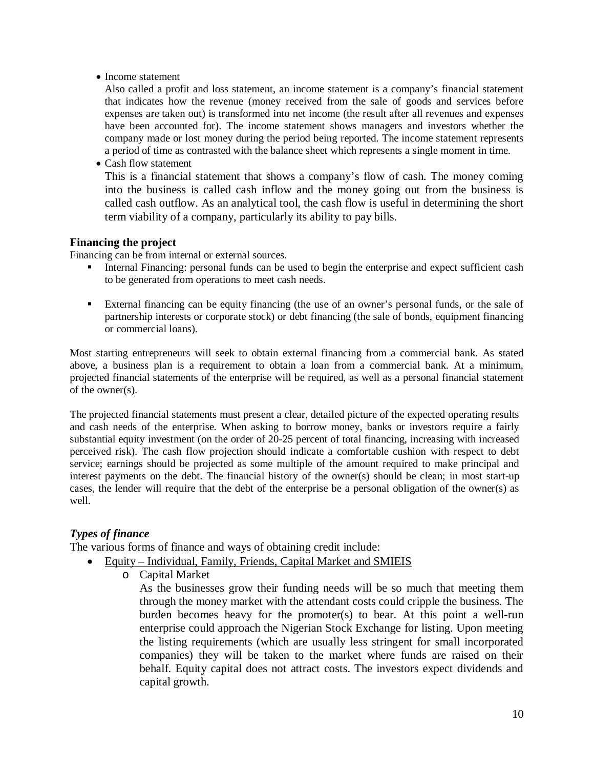• Income statement

Also called a profit and loss statement, an income statement is a company's financial statement that indicates how the revenue (money received from the sale of goods and services before expenses are taken out) is transformed into net income (the result after all revenues and expenses have been accounted for). The income statement shows managers and investors whether the company made or lost money during the period being reported. The income statement represents a period of time as contrasted with the balance sheet which represents a single moment in time.

• Cash flow statement

This is a financial statement that shows a company's flow of cash. The money coming into the business is called cash inflow and the money going out from the business is called cash outflow. As an analytical tool, the cash flow is useful in determining the short term viability of a company, particularly its ability to pay bills.

## **Financing the project**

Financing can be from internal or external sources.

- Internal Financing: personal funds can be used to begin the enterprise and expect sufficient cash to be generated from operations to meet cash needs.
- External financing can be equity financing (the use of an owner's personal funds, or the sale of partnership interests or corporate stock) or debt financing (the sale of bonds, equipment financing or commercial loans).

Most starting entrepreneurs will seek to obtain external financing from a commercial bank. As stated above, a business plan is a requirement to obtain a loan from a commercial bank. At a minimum, projected financial statements of the enterprise will be required, as well as a personal financial statement of the owner(s).

The projected financial statements must present a clear, detailed picture of the expected operating results and cash needs of the enterprise. When asking to borrow money, banks or investors require a fairly substantial equity investment (on the order of 20-25 percent of total financing, increasing with increased perceived risk). The cash flow projection should indicate a comfortable cushion with respect to debt service; earnings should be projected as some multiple of the amount required to make principal and interest payments on the debt. The financial history of the owner(s) should be clean; in most start-up cases, the lender will require that the debt of the enterprise be a personal obligation of the owner(s) as well.

# *Types of finance*

The various forms of finance and ways of obtaining credit include:

- Equity Individual, Family, Friends, Capital Market and SMIEIS
	- o Capital Market

As the businesses grow their funding needs will be so much that meeting them through the money market with the attendant costs could cripple the business. The burden becomes heavy for the promoter(s) to bear. At this point a well-run enterprise could approach the Nigerian Stock Exchange for listing. Upon meeting the listing requirements (which are usually less stringent for small incorporated companies) they will be taken to the market where funds are raised on their behalf. Equity capital does not attract costs. The investors expect dividends and capital growth.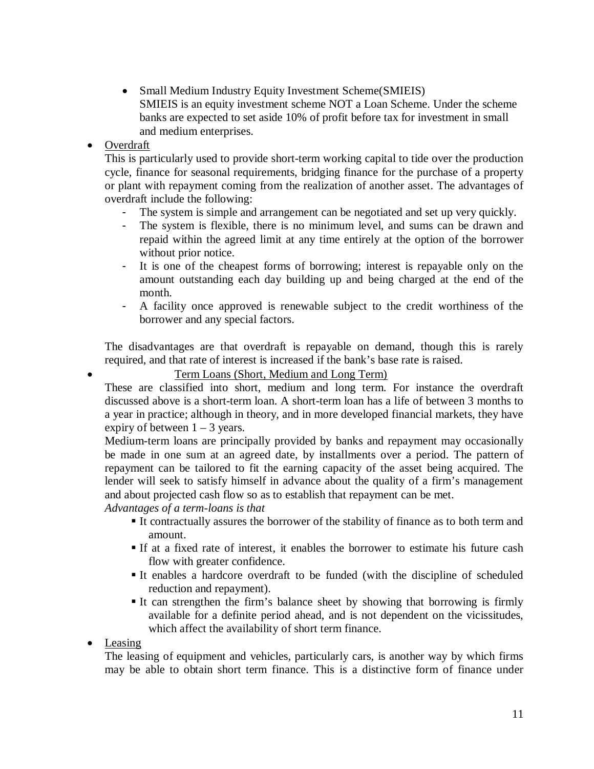• Small Medium Industry Equity Investment Scheme(SMIEIS) SMIEIS is an equity investment scheme NOT a Loan Scheme. Under the scheme banks are expected to set aside 10% of profit before tax for investment in small and medium enterprises.

# • Overdraft

This is particularly used to provide short-term working capital to tide over the production cycle, finance for seasonal requirements, bridging finance for the purchase of a property or plant with repayment coming from the realization of another asset. The advantages of overdraft include the following:

- The system is simple and arrangement can be negotiated and set up very quickly.
- The system is flexible, there is no minimum level, and sums can be drawn and repaid within the agreed limit at any time entirely at the option of the borrower without prior notice.
- It is one of the cheapest forms of borrowing; interest is repayable only on the amount outstanding each day building up and being charged at the end of the month.
- A facility once approved is renewable subject to the credit worthiness of the borrower and any special factors.

The disadvantages are that overdraft is repayable on demand, though this is rarely required, and that rate of interest is increased if the bank's base rate is raised.

# Term Loans (Short, Medium and Long Term)

These are classified into short, medium and long term. For instance the overdraft discussed above is a short-term loan. A short-term loan has a life of between 3 months to a year in practice; although in theory, and in more developed financial markets, they have expiry of between  $1 - 3$  years.

Medium-term loans are principally provided by banks and repayment may occasionally be made in one sum at an agreed date, by installments over a period. The pattern of repayment can be tailored to fit the earning capacity of the asset being acquired. The lender will seek to satisfy himself in advance about the quality of a firm's management and about projected cash flow so as to establish that repayment can be met.

*Advantages of a term-loans is that*

- It contractually assures the borrower of the stability of finance as to both term and amount.
- If at a fixed rate of interest, it enables the borrower to estimate his future cash flow with greater confidence.
- It enables a hardcore overdraft to be funded (with the discipline of scheduled reduction and repayment).
- It can strengthen the firm's balance sheet by showing that borrowing is firmly available for a definite period ahead, and is not dependent on the vicissitudes, which affect the availability of short term finance.

• Leasing

The leasing of equipment and vehicles, particularly cars, is another way by which firms may be able to obtain short term finance. This is a distinctive form of finance under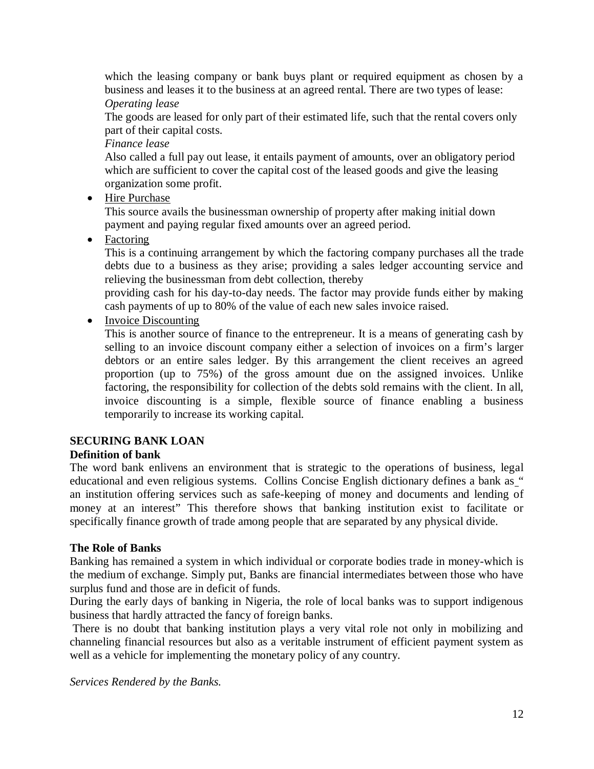which the leasing company or bank buys plant or required equipment as chosen by a business and leases it to the business at an agreed rental. There are two types of lease: *Operating lease*

The goods are leased for only part of their estimated life, such that the rental covers only part of their capital costs.

*Finance lease*

Also called a full pay out lease, it entails payment of amounts, over an obligatory period which are sufficient to cover the capital cost of the leased goods and give the leasing organization some profit.

• Hire Purchase

This source avails the businessman ownership of property after making initial down payment and paying regular fixed amounts over an agreed period.

• Factoring

This is a continuing arrangement by which the factoring company purchases all the trade debts due to a business as they arise; providing a sales ledger accounting service and relieving the businessman from debt collection, thereby

providing cash for his day-to-day needs. The factor may provide funds either by making cash payments of up to 80% of the value of each new sales invoice raised.

• Invoice Discounting

This is another source of finance to the entrepreneur. It is a means of generating cash by selling to an invoice discount company either a selection of invoices on a firm's larger debtors or an entire sales ledger. By this arrangement the client receives an agreed proportion (up to 75%) of the gross amount due on the assigned invoices. Unlike factoring, the responsibility for collection of the debts sold remains with the client. In all, invoice discounting is a simple, flexible source of finance enabling a business temporarily to increase its working capital.

# **SECURING BANK LOAN**

# **Definition of bank**

The word bank enlivens an environment that is strategic to the operations of business, legal educational and even religious systems. Collins Concise English dictionary defines a bank as " an institution offering services such as safe-keeping of money and documents and lending of money at an interest" This therefore shows that banking institution exist to facilitate or specifically finance growth of trade among people that are separated by any physical divide.

# **The Role of Banks**

Banking has remained a system in which individual or corporate bodies trade in money-which is the medium of exchange. Simply put, Banks are financial intermediates between those who have surplus fund and those are in deficit of funds.

During the early days of banking in Nigeria, the role of local banks was to support indigenous business that hardly attracted the fancy of foreign banks.

There is no doubt that banking institution plays a very vital role not only in mobilizing and channeling financial resources but also as a veritable instrument of efficient payment system as well as a vehicle for implementing the monetary policy of any country.

*Services Rendered by the Banks.*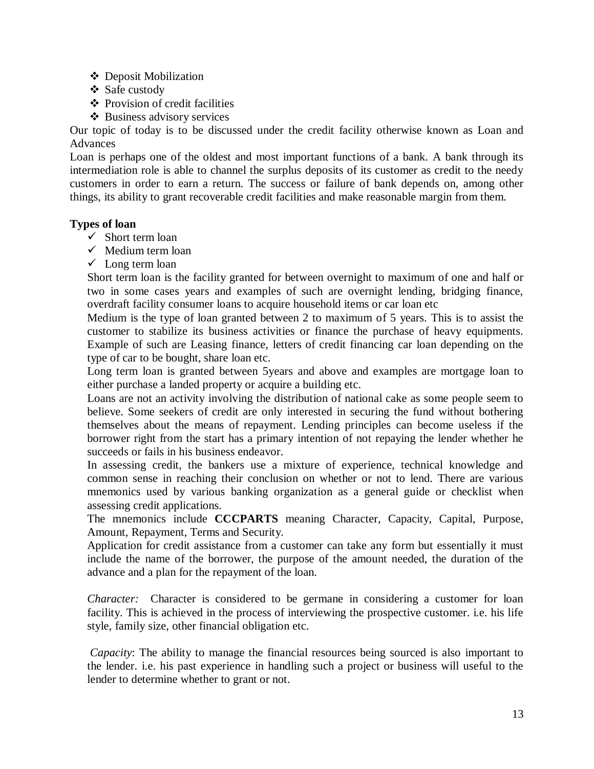- ❖ Deposit Mobilization
- Safe custody
- $\triangle$  Provision of credit facilities
- Business advisory services

Our topic of today is to be discussed under the credit facility otherwise known as Loan and Advances

Loan is perhaps one of the oldest and most important functions of a bank. A bank through its intermediation role is able to channel the surplus deposits of its customer as credit to the needy customers in order to earn a return. The success or failure of bank depends on, among other things, its ability to grant recoverable credit facilities and make reasonable margin from them.

## **Types of loan**

- $\checkmark$  Short term loan
- $\checkmark$  Medium term loan
- $\checkmark$  Long term loan

Short term loan is the facility granted for between overnight to maximum of one and half or two in some cases years and examples of such are overnight lending, bridging finance, overdraft facility consumer loans to acquire household items or car loan etc

Medium is the type of loan granted between 2 to maximum of 5 years. This is to assist the customer to stabilize its business activities or finance the purchase of heavy equipments. Example of such are Leasing finance, letters of credit financing car loan depending on the type of car to be bought, share loan etc.

Long term loan is granted between 5years and above and examples are mortgage loan to either purchase a landed property or acquire a building etc.

Loans are not an activity involving the distribution of national cake as some people seem to believe. Some seekers of credit are only interested in securing the fund without bothering themselves about the means of repayment. Lending principles can become useless if the borrower right from the start has a primary intention of not repaying the lender whether he succeeds or fails in his business endeavor.

In assessing credit, the bankers use a mixture of experience, technical knowledge and common sense in reaching their conclusion on whether or not to lend. There are various mnemonics used by various banking organization as a general guide or checklist when assessing credit applications.

The mnemonics include **CCCPARTS** meaning Character, Capacity, Capital, Purpose, Amount, Repayment, Terms and Security.

Application for credit assistance from a customer can take any form but essentially it must include the name of the borrower, the purpose of the amount needed, the duration of the advance and a plan for the repayment of the loan.

*Character:* Character is considered to be germane in considering a customer for loan facility. This is achieved in the process of interviewing the prospective customer. i.e. his life style, family size, other financial obligation etc.

*Capacity*: The ability to manage the financial resources being sourced is also important to the lender. i.e. his past experience in handling such a project or business will useful to the lender to determine whether to grant or not.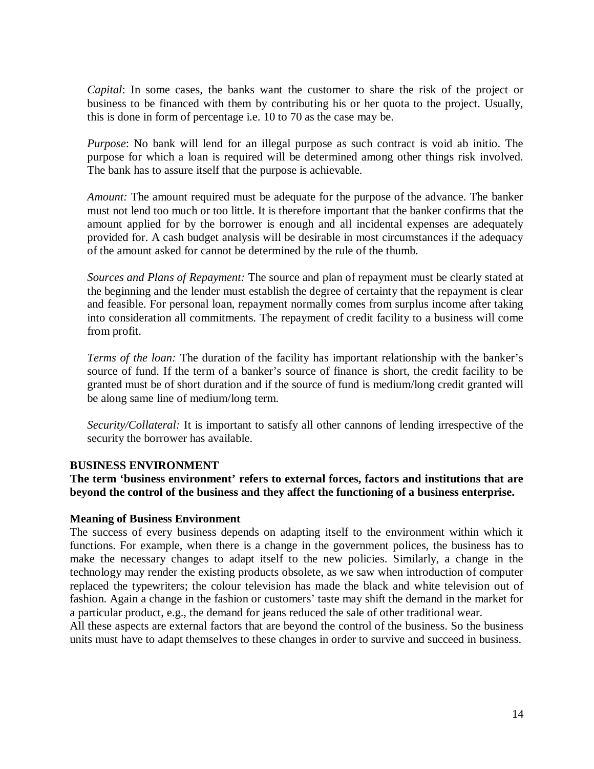*Capital*: In some cases, the banks want the customer to share the risk of the project or business to be financed with them by contributing his or her quota to the project. Usually, this is done in form of percentage i.e. 10 to 70 as the case may be.

*Purpose*: No bank will lend for an illegal purpose as such contract is void ab initio. The purpose for which a loan is required will be determined among other things risk involved. The bank has to assure itself that the purpose is achievable.

*Amount:* The amount required must be adequate for the purpose of the advance. The banker must not lend too much or too little. It is therefore important that the banker confirms that the amount applied for by the borrower is enough and all incidental expenses are adequately provided for. A cash budget analysis will be desirable in most circumstances if the adequacy of the amount asked for cannot be determined by the rule of the thumb.

*Sources and Plans of Repayment:* The source and plan of repayment must be clearly stated at the beginning and the lender must establish the degree of certainty that the repayment is clear and feasible. For personal loan, repayment normally comes from surplus income after taking into consideration all commitments. The repayment of credit facility to a business will come from profit.

*Terms of the loan:* The duration of the facility has important relationship with the banker's source of fund. If the term of a banker's source of finance is short, the credit facility to be granted must be of short duration and if the source of fund is medium/long credit granted will be along same line of medium/long term.

*Security/Collateral:* It is important to satisfy all other cannons of lending irrespective of the security the borrower has available.

## **BUSINESS ENVIRONMENT**

**The term 'business environment' refers to external forces, factors and institutions that are beyond the control of the business and they affect the functioning of a business enterprise.**

## **Meaning of Business Environment**

The success of every business depends on adapting itself to the environment within which it functions. For example, when there is a change in the government polices, the business has to make the necessary changes to adapt itself to the new policies. Similarly, a change in the technology may render the existing products obsolete, as we saw when introduction of computer replaced the typewriters; the colour television has made the black and white television out of fashion. Again a change in the fashion or customers' taste may shift the demand in the market for a particular product, e.g., the demand for jeans reduced the sale of other traditional wear.

All these aspects are external factors that are beyond the control of the business. So the business units must have to adapt themselves to these changes in order to survive and succeed in business.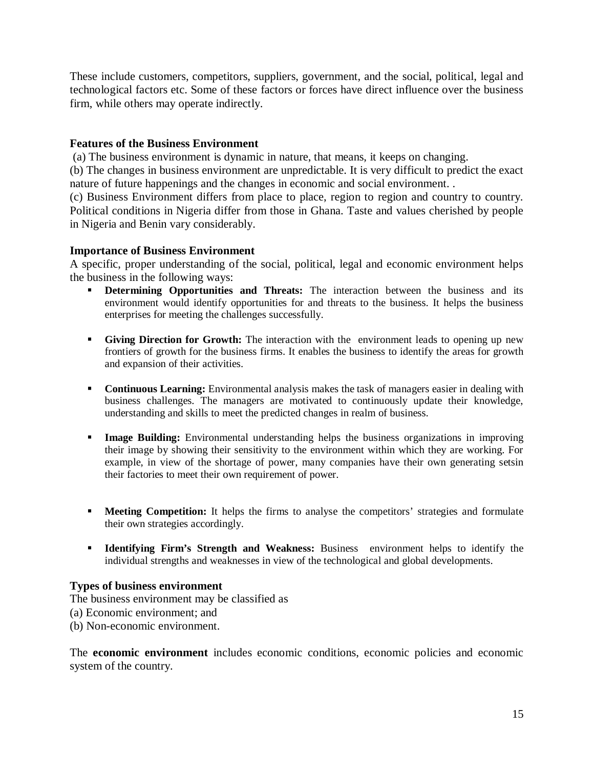These include customers, competitors, suppliers, government, and the social, political, legal and technological factors etc. Some of these factors or forces have direct influence over the business firm, while others may operate indirectly.

## **Features of the Business Environment**

(a) The business environment is dynamic in nature, that means, it keeps on changing.

(b) The changes in business environment are unpredictable. It is very difficult to predict the exact nature of future happenings and the changes in economic and social environment. .

(c) Business Environment differs from place to place, region to region and country to country. Political conditions in Nigeria differ from those in Ghana. Taste and values cherished by people in Nigeria and Benin vary considerably.

## **Importance of Business Environment**

A specific, proper understanding of the social, political, legal and economic environment helps the business in the following ways:

- **Determining Opportunities and Threats:** The interaction between the business and its environment would identify opportunities for and threats to the business. It helps the business enterprises for meeting the challenges successfully.
- **Giving Direction for Growth:** The interaction with the environment leads to opening up new frontiers of growth for the business firms. It enables the business to identify the areas for growth and expansion of their activities.
- **Continuous Learning:** Environmental analysis makes the task of managers easier in dealing with business challenges. The managers are motivated to continuously update their knowledge, understanding and skills to meet the predicted changes in realm of business.
- **Image Building:** Environmental understanding helps the business organizations in improving their image by showing their sensitivity to the environment within which they are working. For example, in view of the shortage of power, many companies have their own generating setsin their factories to meet their own requirement of power.
- **Meeting Competition:** It helps the firms to analyse the competitors' strategies and formulate their own strategies accordingly.
- **Identifying Firm's Strength and Weakness:** Business environment helps to identify the individual strengths and weaknesses in view of the technological and global developments.

## **Types of business environment**

The business environment may be classified as

- (a) Economic environment; and
- (b) Non-economic environment.

The **economic environment** includes economic conditions, economic policies and economic system of the country.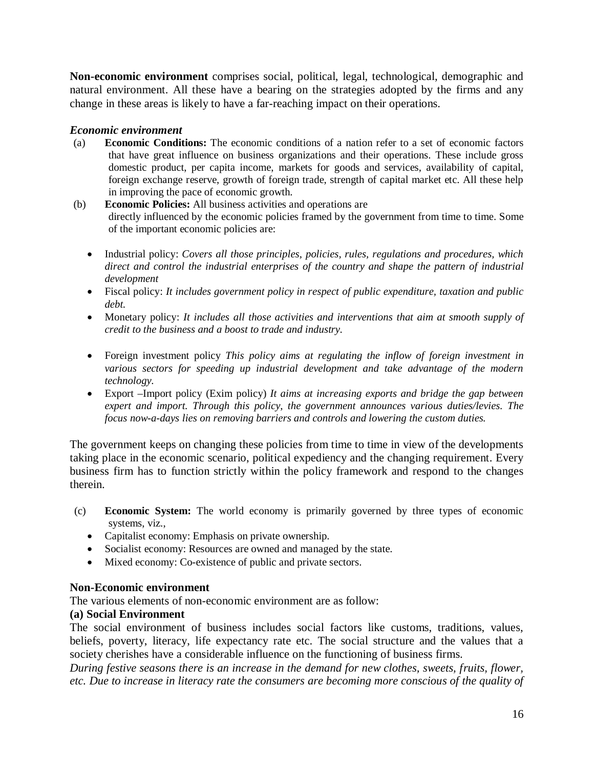**Non-economic environment** comprises social, political, legal, technological, demographic and natural environment. All these have a bearing on the strategies adopted by the firms and any change in these areas is likely to have a far-reaching impact on their operations.

## *Economic environment*

- (a) **Economic Conditions:** The economic conditions of a nation refer to a set of economic factors that have great influence on business organizations and their operations. These include gross domestic product, per capita income, markets for goods and services, availability of capital, foreign exchange reserve, growth of foreign trade, strength of capital market etc. All these help in improving the pace of economic growth.
- (b) **Economic Policies:** All business activities and operations are directly influenced by the economic policies framed by the government from time to time. Some of the important economic policies are:
	- Industrial policy: *Covers all those principles, policies, rules, regulations and procedures, which direct and control the industrial enterprises of the country and shape the pattern of industrial development*
	- Fiscal policy: *It includes government policy in respect of public expenditure, taxation and public debt.*
	- Monetary policy: *It includes all those activities and interventions that aim at smooth supply of credit to the business and a boost to trade and industry.*
	- Foreign investment policy *This policy aims at regulating the inflow of foreign investment in various sectors for speeding up industrial development and take advantage of the modern technology.*
	- Export –Import policy (Exim policy) *It aims at increasing exports and bridge the gap between expert and import. Through this policy, the government announces various duties/levies. The focus now-a-days lies on removing barriers and controls and lowering the custom duties.*

The government keeps on changing these policies from time to time in view of the developments taking place in the economic scenario, political expediency and the changing requirement. Every business firm has to function strictly within the policy framework and respond to the changes therein.

- (c) **Economic System:** The world economy is primarily governed by three types of economic systems, viz.,
	- Capitalist economy: Emphasis on private ownership.
	- Socialist economy: Resources are owned and managed by the state.
	- Mixed economy: Co-existence of public and private sectors.

## **Non-Economic environment**

The various elements of non-economic environment are as follow:

# **(a) Social Environment**

The social environment of business includes social factors like customs, traditions, values, beliefs, poverty, literacy, life expectancy rate etc. The social structure and the values that a society cherishes have a considerable influence on the functioning of business firms.

*During festive seasons there is an increase in the demand for new clothes, sweets, fruits, flower, etc. Due to increase in literacy rate the consumers are becoming more conscious of the quality of*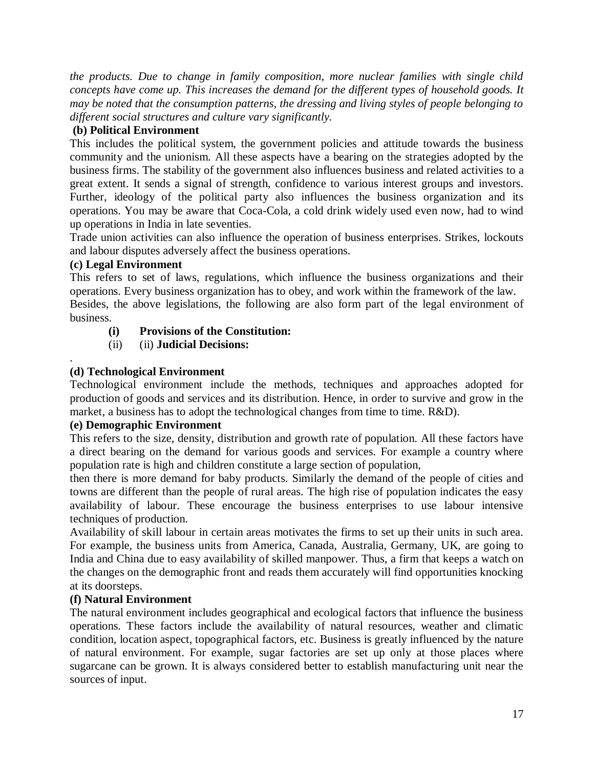*the products. Due to change in family composition, more nuclear families with single child concepts have come up. This increases the demand for the different types of household goods. It may be noted that the consumption patterns, the dressing and living styles of people belonging to different social structures and culture vary significantly.*

# **(b) Political Environment**

This includes the political system, the government policies and attitude towards the business community and the unionism. All these aspects have a bearing on the strategies adopted by the business firms. The stability of the government also influences business and related activities to a great extent. It sends a signal of strength, confidence to various interest groups and investors. Further, ideology of the political party also influences the business organization and its operations. You may be aware that Coca-Cola, a cold drink widely used even now, had to wind up operations in India in late seventies.

Trade union activities can also influence the operation of business enterprises. Strikes, lockouts and labour disputes adversely affect the business operations.

# **(c) Legal Environment**

This refers to set of laws, regulations, which influence the business organizations and their operations. Every business organization has to obey, and work within the framework of the law.

Besides, the above legislations, the following are also form part of the legal environment of business.

# **(i) Provisions of the Constitution:**

(ii) (ii) **Judicial Decisions:**

## . **(d) Technological Environment**

Technological environment include the methods, techniques and approaches adopted for production of goods and services and its distribution. Hence, in order to survive and grow in the market, a business has to adopt the technological changes from time to time. R&D).

# **(e) Demographic Environment**

This refers to the size, density, distribution and growth rate of population. All these factors have a direct bearing on the demand for various goods and services. For example a country where population rate is high and children constitute a large section of population,

then there is more demand for baby products. Similarly the demand of the people of cities and towns are different than the people of rural areas. The high rise of population indicates the easy availability of labour. These encourage the business enterprises to use labour intensive techniques of production.

Availability of skill labour in certain areas motivates the firms to set up their units in such area. For example, the business units from America, Canada, Australia, Germany, UK, are going to India and China due to easy availability of skilled manpower. Thus, a firm that keeps a watch on the changes on the demographic front and reads them accurately will find opportunities knocking at its doorsteps.

# **(f) Natural Environment**

The natural environment includes geographical and ecological factors that influence the business operations. These factors include the availability of natural resources, weather and climatic condition, location aspect, topographical factors, etc. Business is greatly influenced by the nature of natural environment. For example, sugar factories are set up only at those places where sugarcane can be grown. It is always considered better to establish manufacturing unit near the sources of input.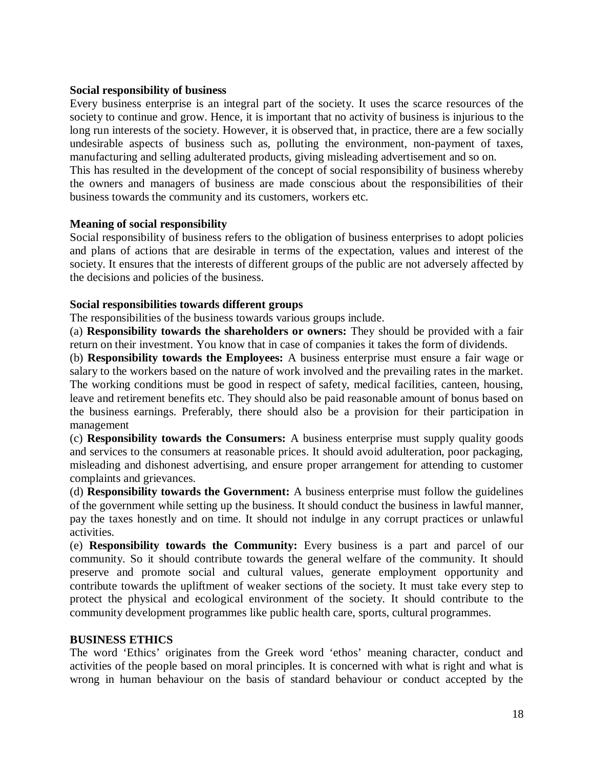## **Social responsibility of business**

Every business enterprise is an integral part of the society. It uses the scarce resources of the society to continue and grow. Hence, it is important that no activity of business is injurious to the long run interests of the society. However, it is observed that, in practice, there are a few socially undesirable aspects of business such as, polluting the environment, non-payment of taxes, manufacturing and selling adulterated products, giving misleading advertisement and so on. This has resulted in the development of the concept of social responsibility of business whereby the owners and managers of business are made conscious about the responsibilities of their business towards the community and its customers, workers etc.

## **Meaning of social responsibility**

Social responsibility of business refers to the obligation of business enterprises to adopt policies and plans of actions that are desirable in terms of the expectation, values and interest of the society. It ensures that the interests of different groups of the public are not adversely affected by the decisions and policies of the business.

## **Social responsibilities towards different groups**

The responsibilities of the business towards various groups include.

(a) **Responsibility towards the shareholders or owners:** They should be provided with a fair return on their investment. You know that in case of companies it takes the form of dividends.

(b) **Responsibility towards the Employees:** A business enterprise must ensure a fair wage or salary to the workers based on the nature of work involved and the prevailing rates in the market. The working conditions must be good in respect of safety, medical facilities, canteen, housing, leave and retirement benefits etc. They should also be paid reasonable amount of bonus based on the business earnings. Preferably, there should also be a provision for their participation in management

(c) **Responsibility towards the Consumers:** A business enterprise must supply quality goods and services to the consumers at reasonable prices. It should avoid adulteration, poor packaging, misleading and dishonest advertising, and ensure proper arrangement for attending to customer complaints and grievances.

(d) **Responsibility towards the Government:** A business enterprise must follow the guidelines of the government while setting up the business. It should conduct the business in lawful manner, pay the taxes honestly and on time. It should not indulge in any corrupt practices or unlawful activities.

(e) **Responsibility towards the Community:** Every business is a part and parcel of our community. So it should contribute towards the general welfare of the community. It should preserve and promote social and cultural values, generate employment opportunity and contribute towards the upliftment of weaker sections of the society. It must take every step to protect the physical and ecological environment of the society. It should contribute to the community development programmes like public health care, sports, cultural programmes.

## **BUSINESS ETHICS**

The word 'Ethics' originates from the Greek word 'ethos' meaning character, conduct and activities of the people based on moral principles. It is concerned with what is right and what is wrong in human behaviour on the basis of standard behaviour or conduct accepted by the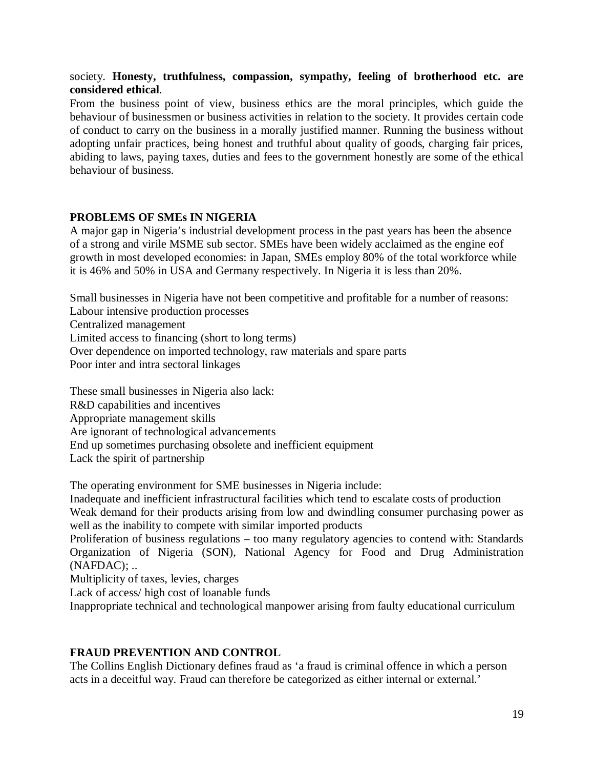## society. **Honesty, truthfulness, compassion, sympathy, feeling of brotherhood etc. are considered ethical**.

From the business point of view, business ethics are the moral principles, which guide the behaviour of businessmen or business activities in relation to the society. It provides certain code of conduct to carry on the business in a morally justified manner. Running the business without adopting unfair practices, being honest and truthful about quality of goods, charging fair prices, abiding to laws, paying taxes, duties and fees to the government honestly are some of the ethical behaviour of business.

## **PROBLEMS OF SMEs IN NIGERIA**

A major gap in Nigeria's industrial development process in the past years has been the absence of a strong and virile MSME sub sector. SMEs have been widely acclaimed as the engine eof growth in most developed economies: in Japan, SMEs employ 80% of the total workforce while it is 46% and 50% in USA and Germany respectively. In Nigeria it is less than 20%.

Small businesses in Nigeria have not been competitive and profitable for a number of reasons: Labour intensive production processes

Centralized management

Limited access to financing (short to long terms)

Over dependence on imported technology, raw materials and spare parts

Poor inter and intra sectoral linkages

These small businesses in Nigeria also lack: R&D capabilities and incentives Appropriate management skills Are ignorant of technological advancements End up sometimes purchasing obsolete and inefficient equipment Lack the spirit of partnership

The operating environment for SME businesses in Nigeria include:

Inadequate and inefficient infrastructural facilities which tend to escalate costs of production Weak demand for their products arising from low and dwindling consumer purchasing power as well as the inability to compete with similar imported products

Proliferation of business regulations – too many regulatory agencies to contend with: Standards Organization of Nigeria (SON), National Agency for Food and Drug Administration  $(NAFDAC); ...$ 

Multiplicity of taxes, levies, charges

Lack of access/ high cost of loanable funds

Inappropriate technical and technological manpower arising from faulty educational curriculum

# **FRAUD PREVENTION AND CONTROL**

The Collins English Dictionary defines fraud as 'a fraud is criminal offence in which a person acts in a deceitful way. Fraud can therefore be categorized as either internal or external.'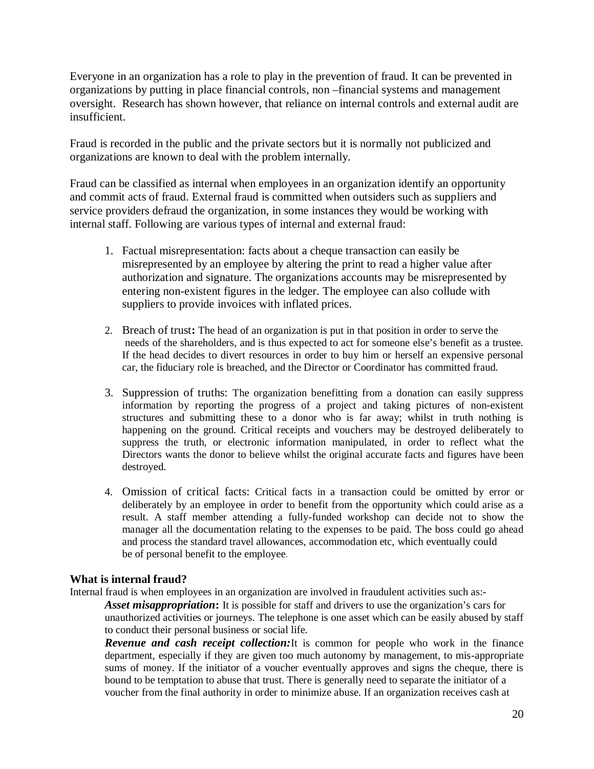Everyone in an organization has a role to play in the prevention of fraud. It can be prevented in organizations by putting in place financial controls, non –financial systems and management oversight. Research has shown however, that reliance on internal controls and external audit are insufficient.

Fraud is recorded in the public and the private sectors but it is normally not publicized and organizations are known to deal with the problem internally.

Fraud can be classified as internal when employees in an organization identify an opportunity and commit acts of fraud. External fraud is committed when outsiders such as suppliers and service providers defraud the organization, in some instances they would be working with internal staff. Following are various types of internal and external fraud:

- 1. Factual misrepresentation: facts about a cheque transaction can easily be misrepresented by an employee by altering the print to read a higher value after authorization and signature. The organizations accounts may be misrepresented by entering non-existent figures in the ledger. The employee can also collude with suppliers to provide invoices with inflated prices.
- 2. Breach of trust**:** The head of an organization is put in that position in order to serve the needs of the shareholders, and is thus expected to act for someone else's benefit as a trustee. If the head decides to divert resources in order to buy him or herself an expensive personal car, the fiduciary role is breached, and the Director or Coordinator has committed fraud.
- 3. Suppression of truths: The organization benefitting from a donation can easily suppress information by reporting the progress of a project and taking pictures of non-existent structures and submitting these to a donor who is far away; whilst in truth nothing is happening on the ground. Critical receipts and vouchers may be destroyed deliberately to suppress the truth, or electronic information manipulated, in order to reflect what the Directors wants the donor to believe whilst the original accurate facts and figures have been destroyed.
- 4. Omission of critical facts: Critical facts in a transaction could be omitted by error or deliberately by an employee in order to benefit from the opportunity which could arise as a result. A staff member attending a fully-funded workshop can decide not to show the manager all the documentation relating to the expenses to be paid. The boss could go ahead and process the standard travel allowances, accommodation etc, which eventually could be of personal benefit to the employee.

## **What is internal fraud?**

Internal fraud is when employees in an organization are involved in fraudulent activities such as:-

*Asset misappropriation***:** It is possible for staff and drivers to use the organization's cars for unauthorized activities or journeys. The telephone is one asset which can be easily abused by staff to conduct their personal business or social life.

*Revenue and cash receipt collection:*It is common for people who work in the finance department, especially if they are given too much autonomy by management, to mis-appropriate sums of money. If the initiator of a voucher eventually approves and signs the cheque, there is bound to be temptation to abuse that trust. There is generally need to separate the initiator of a voucher from the final authority in order to minimize abuse. If an organization receives cash at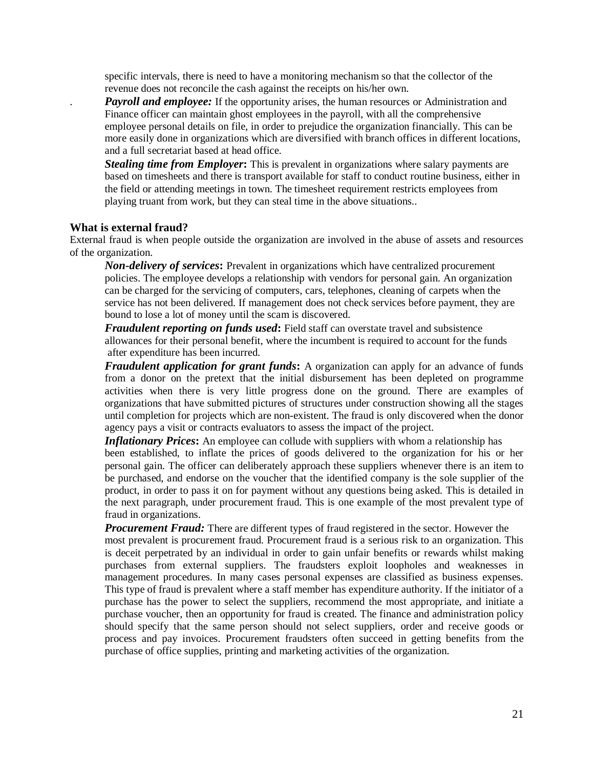specific intervals, there is need to have a monitoring mechanism so that the collector of the revenue does not reconcile the cash against the receipts on his/her own.

**Payroll and employee:** If the opportunity arises, the human resources or Administration and Finance officer can maintain ghost employees in the payroll, with all the comprehensive employee personal details on file, in order to prejudice the organization financially. This can be more easily done in organizations which are diversified with branch offices in different locations, and a full secretariat based at head office.

*Stealing time from Employer*: This is prevalent in organizations where salary payments are based on timesheets and there is transport available for staff to conduct routine business, either in the field or attending meetings in town. The timesheet requirement restricts employees from playing truant from work, but they can steal time in the above situations..

#### **What is external fraud?**

External fraud is when people outside the organization are involved in the abuse of assets and resources of the organization.

*Non-delivery of services***:** Prevalent in organizations which have centralized procurement policies. The employee develops a relationship with vendors for personal gain. An organization can be charged for the servicing of computers, cars, telephones, cleaning of carpets when the service has not been delivered. If management does not check services before payment, they are bound to lose a lot of money until the scam is discovered.

*Fraudulent reporting on funds used***:** Field staff can overstate travel and subsistence allowances for their personal benefit, where the incumbent is required to account for the funds after expenditure has been incurred.

*Fraudulent application for grant funds***:** A organization can apply for an advance of funds from a donor on the pretext that the initial disbursement has been depleted on programme activities when there is very little progress done on the ground. There are examples of organizations that have submitted pictures of structures under construction showing all the stages until completion for projects which are non-existent. The fraud is only discovered when the donor agency pays a visit or contracts evaluators to assess the impact of the project.

**Inflationary Prices:** An employee can collude with suppliers with whom a relationship has been established, to inflate the prices of goods delivered to the organization for his or her personal gain. The officer can deliberately approach these suppliers whenever there is an item to be purchased, and endorse on the voucher that the identified company is the sole supplier of the product, in order to pass it on for payment without any questions being asked. This is detailed in the next paragraph, under procurement fraud. This is one example of the most prevalent type of fraud in organizations.

**Procurement Fraud:** There are different types of fraud registered in the sector. However the

most prevalent is procurement fraud. Procurement fraud is a serious risk to an organization. This is deceit perpetrated by an individual in order to gain unfair benefits or rewards whilst making purchases from external suppliers. The fraudsters exploit loopholes and weaknesses in management procedures. In many cases personal expenses are classified as business expenses. This type of fraud is prevalent where a staff member has expenditure authority. If the initiator of a purchase has the power to select the suppliers, recommend the most appropriate, and initiate a purchase voucher, then an opportunity for fraud is created. The finance and administration policy should specify that the same person should not select suppliers, order and receive goods or process and pay invoices. Procurement fraudsters often succeed in getting benefits from the purchase of office supplies, printing and marketing activities of the organization.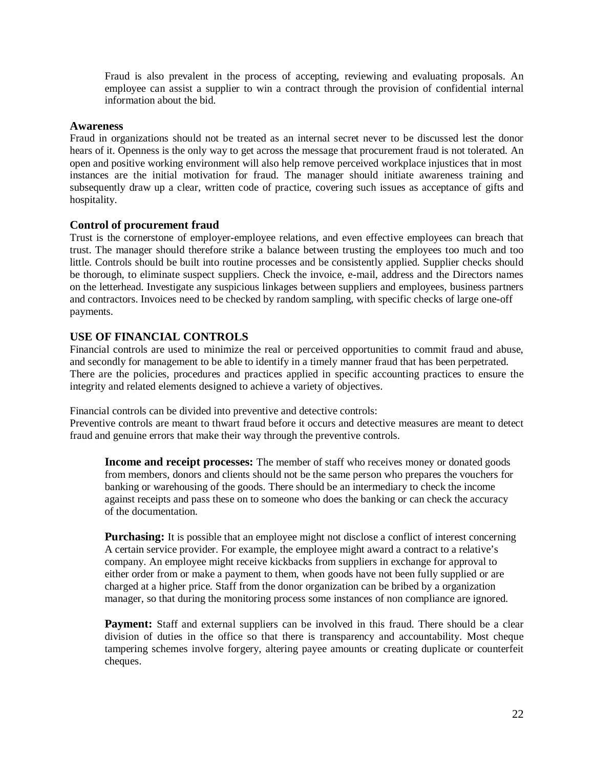Fraud is also prevalent in the process of accepting, reviewing and evaluating proposals. An employee can assist a supplier to win a contract through the provision of confidential internal information about the bid.

### **Awareness**

Fraud in organizations should not be treated as an internal secret never to be discussed lest the donor hears of it. Openness is the only way to get across the message that procurement fraud is not tolerated. An open and positive working environment will also help remove perceived workplace injustices that in most instances are the initial motivation for fraud. The manager should initiate awareness training and subsequently draw up a clear, written code of practice, covering such issues as acceptance of gifts and hospitality.

### **Control of procurement fraud**

Trust is the cornerstone of employer-employee relations, and even effective employees can breach that trust. The manager should therefore strike a balance between trusting the employees too much and too little. Controls should be built into routine processes and be consistently applied. Supplier checks should be thorough, to eliminate suspect suppliers. Check the invoice, e-mail, address and the Directors names on the letterhead. Investigate any suspicious linkages between suppliers and employees, business partners and contractors. Invoices need to be checked by random sampling, with specific checks of large one-off payments.

### **USE OF FINANCIAL CONTROLS**

Financial controls are used to minimize the real or perceived opportunities to commit fraud and abuse, and secondly for management to be able to identify in a timely manner fraud that has been perpetrated. There are the policies, procedures and practices applied in specific accounting practices to ensure the integrity and related elements designed to achieve a variety of objectives.

Financial controls can be divided into preventive and detective controls:

Preventive controls are meant to thwart fraud before it occurs and detective measures are meant to detect fraud and genuine errors that make their way through the preventive controls.

**Income and receipt processes:** The member of staff who receives money or donated goods from members, donors and clients should not be the same person who prepares the vouchers for banking or warehousing of the goods. There should be an intermediary to check the income against receipts and pass these on to someone who does the banking or can check the accuracy of the documentation.

**Purchasing:** It is possible that an employee might not disclose a conflict of interest concerning A certain service provider. For example, the employee might award a contract to a relative's company. An employee might receive kickbacks from suppliers in exchange for approval to either order from or make a payment to them, when goods have not been fully supplied or are charged at a higher price. Staff from the donor organization can be bribed by a organization manager, so that during the monitoring process some instances of non compliance are ignored.

Payment: Staff and external suppliers can be involved in this fraud. There should be a clear division of duties in the office so that there is transparency and accountability. Most cheque tampering schemes involve forgery, altering payee amounts or creating duplicate or counterfeit cheques.